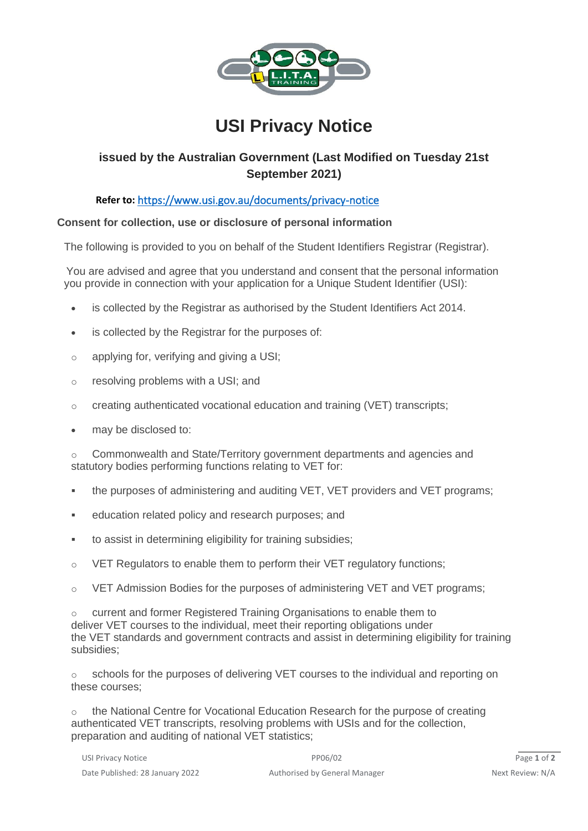

# **USI Privacy Notice**

# **issued by the Australian Government (Last Modified on Tuesday 21st September 2021)**

## **Refer to:** <https://www.usi.gov.au/documents/privacy-notice>

### **Consent for collection, use or disclosure of personal information**

The following is provided to you on behalf of the Student Identifiers Registrar (Registrar).

 You are advised and agree that you understand and consent that the personal information you provide in connection with your application for a Unique Student Identifier (USI):

- is collected by the Registrar as authorised by the Student Identifiers Act 2014.
- is collected by the Registrar for the purposes of:
- $\circ$  applying for, verifying and giving a USI;
- o resolving problems with a USI; and
- o creating authenticated vocational education and training (VET) transcripts;
- may be disclosed to:

o Commonwealth and State/Territory government departments and agencies and statutory bodies performing functions relating to VET for:

- **the purposes of administering and auditing VET, VET providers and VET programs;**
- education related policy and research purposes; and
- to assist in determining eligibility for training subsidies;
- o VET Regulators to enable them to perform their VET regulatory functions;
- o VET Admission Bodies for the purposes of administering VET and VET programs;

o current and former Registered Training Organisations to enable them to deliver VET courses to the individual, meet their reporting obligations under the VET standards and government contracts and assist in determining eligibility for training subsidies;

o schools for the purposes of delivering VET courses to the individual and reporting on these courses;

o the National Centre for Vocational Education Research for the purpose of creating authenticated VET transcripts, resolving problems with USIs and for the collection, preparation and auditing of national VET statistics;